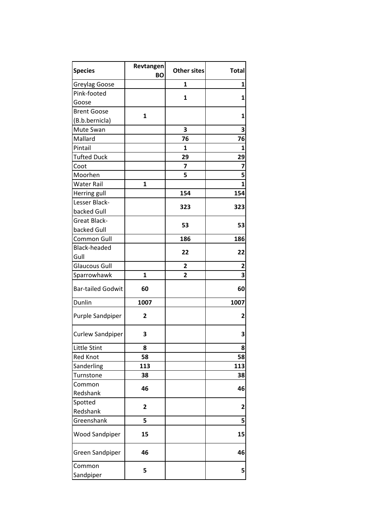| <b>Species</b>           | Revtangen<br>BΟ | Other sites    | <b>Total</b> |
|--------------------------|-----------------|----------------|--------------|
| Greylag Goose            |                 | 1              | 1            |
| Pink-footed              |                 | 1              |              |
| Goose                    |                 |                | 1            |
| <b>Brent Goose</b>       | $\mathbf{1}$    |                | 1            |
| (B.b.bernicla)           |                 |                |              |
| Mute Swan                |                 | 3              | З            |
| Mallard                  |                 | 76             | 76           |
| Pintail                  |                 | 1              | 1            |
| <b>Tufted Duck</b>       |                 | 29             | 29           |
| Coot                     |                 | 7              | 7            |
| Moorhen                  |                 | 5              | 5            |
| <b>Water Rail</b>        | 1               |                | 1            |
| Herring gull             |                 | 154            | 154          |
| Lesser Black-            |                 |                |              |
| backed Gull              |                 | 323            | 323          |
| <b>Great Black-</b>      |                 |                |              |
| backed Gull              |                 | 53             | 53           |
| Common Gull              |                 | 186            | 186          |
| <b>Black-headed</b>      |                 |                |              |
| Gull                     |                 | 22             | 22           |
| <b>Glaucous Gull</b>     |                 | $\overline{2}$ | 2            |
| Sparrowhawk              | $\mathbf{1}$    | 2              | 3            |
| <b>Bar-tailed Godwit</b> | 60              |                | 60           |
| Dunlin                   | 1007            |                | 1007         |
| Purple Sandpiper         | 2               |                | 2            |
| <b>Curlew Sandpiper</b>  | 3               |                | 3            |
| Little Stint             | 8               |                | 8            |
| <b>Red Knot</b>          | 58              |                | 58           |
| Sanderling               | 113             |                | 113          |
| Turnstone                | 38              |                | 38           |
| Common                   | 46              |                | 46           |
| Redshank                 |                 |                |              |
| Spotted                  | $\overline{2}$  |                | 2            |
| Redshank                 |                 |                |              |
| Greenshank               | 5               |                | 5            |
| <b>Wood Sandpiper</b>    | 15              |                | 15           |
| Green Sandpiper          | 46              |                | 46           |
| Common<br>Sandpiper      | 5               |                | 5            |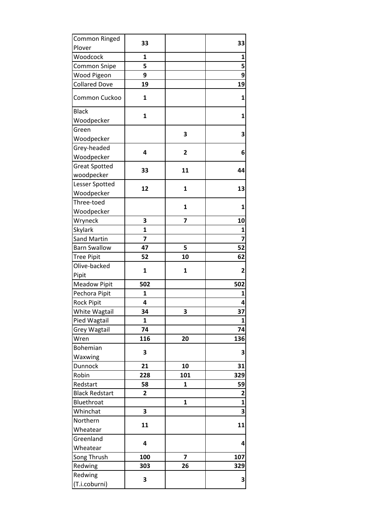|                |                                                    | 33                                       |
|----------------|----------------------------------------------------|------------------------------------------|
|                |                                                    |                                          |
| 1              |                                                    | 1                                        |
| 5              |                                                    | 5                                        |
| 9              |                                                    | 9                                        |
| 19             |                                                    | 19                                       |
| 1              |                                                    | 1                                        |
|                |                                                    | 1                                        |
|                |                                                    |                                          |
|                |                                                    | 3                                        |
|                |                                                    |                                          |
|                |                                                    | 6                                        |
|                |                                                    |                                          |
|                |                                                    | 44                                       |
|                |                                                    |                                          |
|                |                                                    | 13                                       |
|                |                                                    |                                          |
|                |                                                    | 1                                        |
|                |                                                    |                                          |
| 3              | 7                                                  | 10                                       |
| $\mathbf{1}$   |                                                    | 1                                        |
| 7              |                                                    | $\overline{7}$                           |
| 47             | 5                                                  | 52                                       |
| 52             | 10                                                 | 62                                       |
|                |                                                    | $\overline{2}$                           |
|                |                                                    |                                          |
| 502            |                                                    | 502                                      |
| 1              |                                                    | 1                                        |
| 4              |                                                    | 4                                        |
| 34             | 3                                                  | 37                                       |
| 1              |                                                    | 1                                        |
| 74             |                                                    | 74                                       |
| 116            | 20                                                 | 136                                      |
|                |                                                    |                                          |
|                |                                                    | 3                                        |
| 21             | 10                                                 | 31                                       |
| 228            | 101                                                | 329                                      |
| 58             | 1                                                  | 59                                       |
| $\overline{2}$ |                                                    | $\mathbf 2$                              |
|                | 1                                                  | $\mathbf{1}$                             |
| 3              |                                                    | 3                                        |
|                |                                                    |                                          |
|                |                                                    | 11                                       |
|                |                                                    |                                          |
|                |                                                    | 4                                        |
| 100            | $\overline{7}$                                     | 107                                      |
| 303            | 26                                                 | 329                                      |
|                |                                                    |                                          |
|                |                                                    | 3                                        |
|                | 33<br>1<br>4<br>33<br>12<br>1<br>3<br>11<br>4<br>3 | 3<br>$\overline{2}$<br>11<br>1<br>1<br>1 |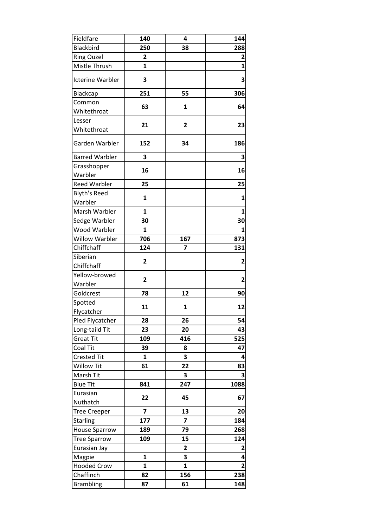| Fieldfare               | 140            | 4                       | 144            |
|-------------------------|----------------|-------------------------|----------------|
| <b>Blackbird</b>        | 250            | 38                      | 288            |
| <b>Ring Ouzel</b>       | 2              |                         | 2              |
| Mistle Thrush           | $\mathbf{1}$   |                         | $\mathbf{1}$   |
| <b>Icterine Warbler</b> | 3              |                         | 3              |
| <b>Blackcap</b>         | 251            | 55                      | 306            |
| Common                  |                |                         |                |
| Whitethroat             | 63             | 1                       | 64             |
| Lesser                  |                |                         |                |
| Whitethroat             | 21             | 2                       | 23             |
| Garden Warbler          | 152            | 34                      | 186            |
| <b>Barred Warbler</b>   | 3              |                         | 3              |
| Grasshopper             |                |                         |                |
| Warbler                 | 16             |                         | 16             |
| <b>Reed Warbler</b>     | 25             |                         | 25             |
| <b>Blyth's Reed</b>     |                |                         | $\mathbf{1}$   |
| Warbler                 | 1              |                         |                |
| Marsh Warbler           | 1              |                         | 1              |
| Sedge Warbler           | 30             |                         | 30             |
| Wood Warbler            | $\mathbf{1}$   |                         | 1              |
| <b>Willow Warbler</b>   | 706            | 167                     | 873            |
| Chiffchaff              | 124            | 7                       | 131            |
| Siberian                | $\overline{2}$ |                         | 2              |
| Chiffchaff              |                |                         |                |
| Yellow-browed           | 2              |                         | 2              |
| Warbler                 |                |                         |                |
| Goldcrest               | 78             | 12                      | 90             |
| Spotted                 | 11             | 1                       | 12             |
| Flycatcher              |                |                         |                |
| Pied Flycatcher         | 28             | 26                      | 54             |
| Long-taild Tit          | 23             | 20                      | 43             |
| <b>Great Tit</b>        | 109            | 416                     | 525            |
| Coal Tit                | 39             | 8                       | 47             |
| <b>Crested Tit</b>      | 1              | 3                       | 4              |
| <b>Willow Tit</b>       | 61             | 22                      | 83             |
| Marsh Tit               |                | 3                       | 3              |
| <b>Blue Tit</b>         | 841            | 247                     | 1088           |
| Eurasian                | 22             | 45                      | 67             |
| Nuthatch                |                |                         |                |
| <b>Tree Creeper</b>     | $\overline{7}$ | 13                      | 20             |
| <b>Starling</b>         | 177            | $\overline{\mathbf{z}}$ | 184            |
| <b>House Sparrow</b>    | 189            | 79                      | 268            |
| <b>Tree Sparrow</b>     | 109            | 15                      | 124            |
| Eurasian Jay            |                | 2                       | 2              |
| Magpie                  | $\mathbf{1}$   | 3                       | 4              |
| <b>Hooded Crow</b>      | 1              | $\mathbf{1}$            | $\overline{2}$ |
| Chaffinch               | 82             | 156                     | 238            |
| <b>Brambling</b>        | 87             | 61                      | 148            |